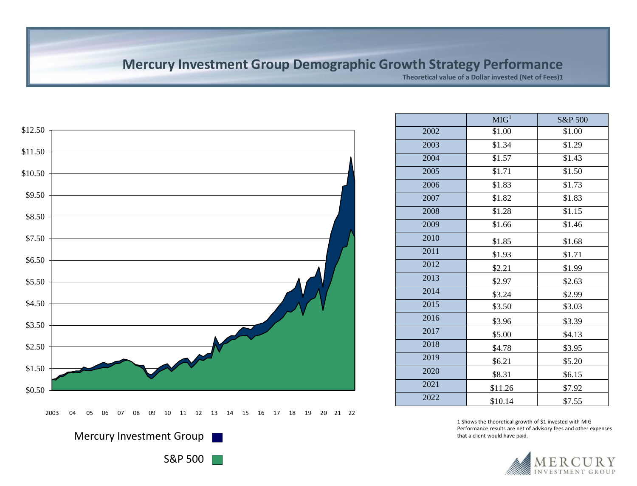### **Mercury Investment Group Demographic Growth Strategy Performance**

**Theoretical value of a Dollar invested (Net of Fees)1**



|      | MIG <sup>1</sup> | S&P 500 |
|------|------------------|---------|
| 2002 | \$1.00           | \$1.00  |
| 2003 | \$1.34           | \$1.29  |
| 2004 | \$1.57           | \$1.43  |
| 2005 | \$1.71           | \$1.50  |
| 2006 | \$1.83           | \$1.73  |
| 2007 | \$1.82           | \$1.83  |
| 2008 | \$1.28           | \$1.15  |
| 2009 | \$1.66           | \$1.46  |
| 2010 | \$1.85           | \$1.68  |
| 2011 | \$1.93           | \$1.71  |
| 2012 | \$2.21           | \$1.99  |
| 2013 | \$2.97           | \$2.63  |
| 2014 | \$3.24           | \$2.99  |
| 2015 | \$3.50           | \$3.03  |
| 2016 | \$3.96           | \$3.39  |
| 2017 | \$5.00           | \$4.13  |
| 2018 | \$4.78           | \$3.95  |
| 2019 | \$6.21           | \$5.20  |
| 2020 | \$8.31           | \$6.15  |
| 2021 | \$11.26          | \$7.92  |
| 2022 | \$10.14          | \$7.55  |

1 Shows the theoretical growth of \$1 invested with MIG Performance results are net of advisory fees and other expenses that a client would have paid.



S&P 500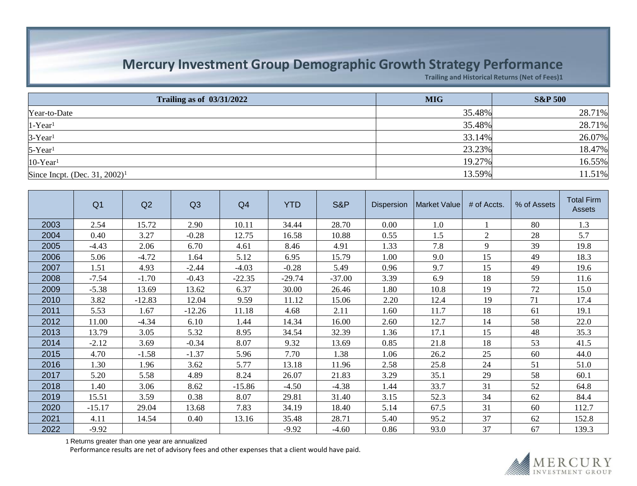# **Mercury Investment Group Demographic Growth Strategy Performance**

**Trailing and Historical Returns (Net of Fees)1**

| Trailing as of $\frac{03}{31/2022}$       | <b>MIG</b> | <b>S&amp;P 500</b> |
|-------------------------------------------|------------|--------------------|
| Year-to-Date                              | 35.48%     | 28.71%             |
| $1-Year1$                                 | 35.48%     | 28.71%             |
| $3-Year1$                                 | 33.14%     | 26.07%             |
| $5$ -Year <sup>1</sup>                    | 23.23%     | 18.47%             |
| $ 10$ -Year <sup>1</sup>                  | 19.27%     | 16.55%             |
| Since Incpt. (Dec. 31, 2002) <sup>1</sup> | 13.59%     | 11.51%             |

|      | Q <sub>1</sub> | Q2       | Q3       | Q4       | <b>YTD</b> | S&P      | <b>Dispersion</b> | Market Value | # of Accts. | % of Assets | <b>Total Firm</b><br>Assets |
|------|----------------|----------|----------|----------|------------|----------|-------------------|--------------|-------------|-------------|-----------------------------|
| 2003 | 2.54           | 15.72    | 2.90     | 10.11    | 34.44      | 28.70    | 0.00              | 1.0          |             | 80          | 1.3                         |
| 2004 | 0.40           | 3.27     | $-0.28$  | 12.75    | 16.58      | 10.88    | 0.55              | 1.5          | 2           | 28          | 5.7                         |
| 2005 | $-4.43$        | 2.06     | 6.70     | 4.61     | 8.46       | 4.91     | 1.33              | 7.8          | 9           | 39          | 19.8                        |
| 2006 | 5.06           | $-4.72$  | 1.64     | 5.12     | 6.95       | 15.79    | 1.00              | 9.0          | 15          | 49          | 18.3                        |
| 2007 | 1.51           | 4.93     | $-2.44$  | $-4.03$  | $-0.28$    | 5.49     | 0.96              | 9.7          | 15          | 49          | 19.6                        |
| 2008 | $-7.54$        | $-1.70$  | $-0.43$  | $-22.35$ | $-29.74$   | $-37.00$ | 3.39              | 6.9          | 18          | 59          | 11.6                        |
| 2009 | $-5.38$        | 13.69    | 13.62    | 6.37     | 30.00      | 26.46    | 1.80              | 10.8         | 19          | 72          | 15.0                        |
| 2010 | 3.82           | $-12.83$ | 12.04    | 9.59     | 11.12      | 15.06    | 2.20              | 12.4         | 19          | 71          | 17.4                        |
| 2011 | 5.53           | 1.67     | $-12.26$ | 11.18    | 4.68       | 2.11     | 1.60              | 11.7         | 18          | 61          | 19.1                        |
| 2012 | 11.00          | $-4.34$  | 6.10     | 1.44     | 14.34      | 16.00    | 2.60              | 12.7         | 14          | 58          | 22.0                        |
| 2013 | 13.79          | 3.05     | 5.32     | 8.95     | 34.54      | 32.39    | 1.36              | 17.1         | 15          | 48          | 35.3                        |
| 2014 | $-2.12$        | 3.69     | $-0.34$  | 8.07     | 9.32       | 13.69    | 0.85              | 21.8         | 18          | 53          | 41.5                        |
| 2015 | 4.70           | $-1.58$  | $-1.37$  | 5.96     | 7.70       | 1.38     | 1.06              | 26.2         | 25          | 60          | 44.0                        |
| 2016 | 1.30           | 1.96     | 3.62     | 5.77     | 13.18      | 11.96    | 2.58              | 25.8         | 24          | 51          | 51.0                        |
| 2017 | 5.20           | 5.58     | 4.89     | 8.24     | 26.07      | 21.83    | 3.29              | 35.1         | 29          | 58          | 60.1                        |
| 2018 | 1.40           | 3.06     | 8.62     | $-15.86$ | $-4.50$    | $-4.38$  | 1.44              | 33.7         | 31          | 52          | 64.8                        |
| 2019 | 15.51          | 3.59     | 0.38     | 8.07     | 29.81      | 31.40    | 3.15              | 52.3         | 34          | 62          | 84.4                        |
| 2020 | $-15.17$       | 29.04    | 13.68    | 7.83     | 34.19      | 18.40    | 5.14              | 67.5         | 31          | 60          | 112.7                       |
| 2021 | 4.11           | 14.54    | 0.40     | 13.16    | 35.48      | 28.71    | 5.40              | 95.2         | 37          | 62          | 152.8                       |
| 2022 | $-9.92$        |          |          |          | $-9.92$    | $-4.60$  | 0.86              | 93.0         | 37          | 67          | 139.3                       |

Returns greater than one year are annualized

Performance results are net of advisory fees and other expenses that a client would have paid.

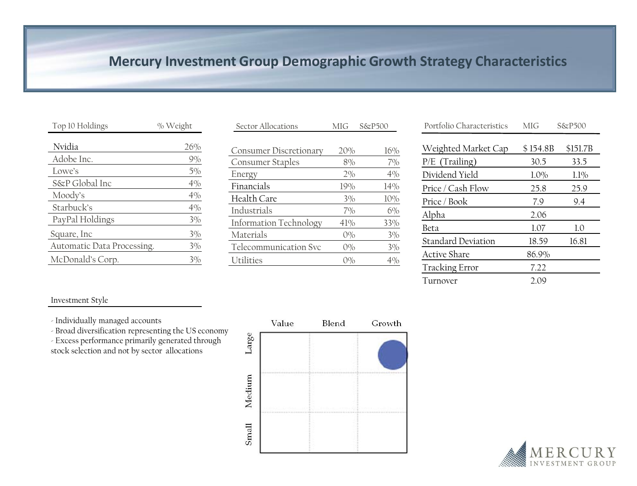## **Mercury Investment Group Demographic Growth Strategy Characteristics**

| Top 10 Holdings            | % Weight |
|----------------------------|----------|
| Nvidia                     | 26%      |
| Adobe Inc.                 | 9%       |
| I owe's                    | 5%       |
| S&P Global Inc             | $4\%$    |
| Moody's                    | 4%       |
| Starbuck's                 | 4%       |
| PayPal Holdings            | $3\%$    |
| Square, Inc                | 3%       |
| Automatic Data Processing. | 3%       |
| McDonald's Corp.           | 3%       |

| Sector Allocations            | MIG <sup></sup> | $S\&P500$ | Portfolio Characteristics        | MIG                       | $S\&P500$ |
|-------------------------------|-----------------|-----------|----------------------------------|---------------------------|-----------|
| <b>Consumer Discretionary</b> | 20%             | 16%       | Weighted Market Cap              | \$154.8B                  | \$151.7   |
| Consumer Staples              | 8%              | 7%        | $P/E$ (Trailing)                 | 30.5                      | 33.5      |
| Energy                        | $2\%$           | 4%        | Dividend Yield                   | $1.0\%$                   | 1.1%      |
| Financials                    | 19%             | 14%       | Price / Cash Flow                | 25.8                      | 25.9      |
| Health Care                   | 3%              | 10%       | Price / Book                     | 7.9                       | 9.4       |
| Industrials                   | 7%              | $6\%$     | Alpha                            | 2.06                      |           |
| <b>Information Technology</b> | 41%             | 33%       | Beta                             | 1.07                      | $1.0\,$   |
| Materials                     | $0\%$           | $3\%$     | <b>Standard Deviation</b>        | 18.59                     | 16.81     |
| Telecommunication Svc         | $O\%$           | $3\%$     |                                  |                           |           |
| Utilities                     | 0%              | 4%        | Active Share<br>$\sim$ 1. $\sim$ | 86.9%<br>$\rightarrow$ 00 |           |

| Portfolio Characteristics | MIG      | $S\&P500$ |
|---------------------------|----------|-----------|
| Weighted Market Cap       | \$154.8B | \$151.7B  |
| $P/E$ (Trailing)          | 30.5     | 33.5      |
| Dividend Yield            | 1.0%     | $1.1\%$   |
| Price / Cash Flow         | 25.8     | 25.9      |
| Price / Book              | 7.9      | 9.4       |
| Alpha                     | 2.06     |           |
| Beta                      | 1.07     | 1.0       |
| <b>Standard Deviation</b> | 18.59    | 16.81     |
| <b>Active Share</b>       | 86.9%    |           |
| <b>Tracking Error</b>     | 7.22     |           |
| Turnover                  | 2.09     |           |

### Investment Style

- Individually managed accounts

- Broad diversification representing the US economy - Excess performance primarily generated through

stock selection and not by sector allocations